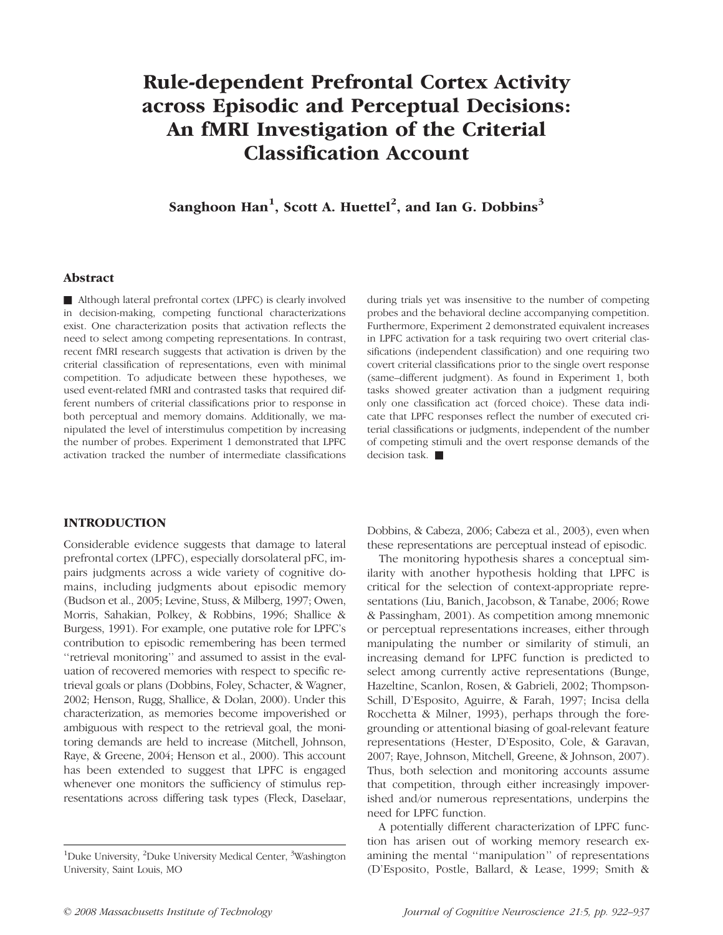# Rule-dependent Prefrontal Cortex Activity across Episodic and Perceptual Decisions: An fMRI Investigation of the Criterial Classification Account

Sanghoon Han<sup>1</sup>, Scott A. Huettel<sup>2</sup>, and Ian G. Dobbins<sup>3</sup>

#### Abstract

& Although lateral prefrontal cortex (LPFC) is clearly involved in decision-making, competing functional characterizations exist. One characterization posits that activation reflects the need to select among competing representations. In contrast, recent fMRI research suggests that activation is driven by the criterial classification of representations, even with minimal competition. To adjudicate between these hypotheses, we used event-related fMRI and contrasted tasks that required different numbers of criterial classifications prior to response in both perceptual and memory domains. Additionally, we manipulated the level of interstimulus competition by increasing the number of probes. Experiment 1 demonstrated that LPFC activation tracked the number of intermediate classifications during trials yet was insensitive to the number of competing probes and the behavioral decline accompanying competition. Furthermore, Experiment 2 demonstrated equivalent increases in LPFC activation for a task requiring two overt criterial classifications (independent classification) and one requiring two covert criterial classifications prior to the single overt response (same–different judgment). As found in Experiment 1, both tasks showed greater activation than a judgment requiring only one classification act (forced choice). These data indicate that LPFC responses reflect the number of executed criterial classifications or judgments, independent of the number of competing stimuli and the overt response demands of the decision task.

# INTRODUCTION

Considerable evidence suggests that damage to lateral prefrontal cortex (LPFC), especially dorsolateral pFC, impairs judgments across a wide variety of cognitive domains, including judgments about episodic memory (Budson et al., 2005; Levine, Stuss, & Milberg, 1997; Owen, Morris, Sahakian, Polkey, & Robbins, 1996; Shallice & Burgess, 1991). For example, one putative role for LPFC's contribution to episodic remembering has been termed ''retrieval monitoring'' and assumed to assist in the evaluation of recovered memories with respect to specific retrieval goals or plans (Dobbins, Foley, Schacter, & Wagner, 2002; Henson, Rugg, Shallice, & Dolan, 2000). Under this characterization, as memories become impoverished or ambiguous with respect to the retrieval goal, the monitoring demands are held to increase (Mitchell, Johnson, Raye, & Greene, 2004; Henson et al., 2000). This account has been extended to suggest that LPFC is engaged whenever one monitors the sufficiency of stimulus representations across differing task types (Fleck, Daselaar, Dobbins, & Cabeza, 2006; Cabeza et al., 2003), even when these representations are perceptual instead of episodic.

The monitoring hypothesis shares a conceptual similarity with another hypothesis holding that LPFC is critical for the selection of context-appropriate representations (Liu, Banich, Jacobson, & Tanabe, 2006; Rowe & Passingham, 2001). As competition among mnemonic or perceptual representations increases, either through manipulating the number or similarity of stimuli, an increasing demand for LPFC function is predicted to select among currently active representations (Bunge, Hazeltine, Scanlon, Rosen, & Gabrieli, 2002; Thompson-Schill, D'Esposito, Aguirre, & Farah, 1997; Incisa della Rocchetta & Milner, 1993), perhaps through the foregrounding or attentional biasing of goal-relevant feature representations (Hester, D'Esposito, Cole, & Garavan, 2007; Raye, Johnson, Mitchell, Greene, & Johnson, 2007). Thus, both selection and monitoring accounts assume that competition, through either increasingly impoverished and/or numerous representations, underpins the need for LPFC function.

A potentially different characterization of LPFC function has arisen out of working memory research examining the mental ''manipulation'' of representations (D'Esposito, Postle, Ballard, & Lease, 1999; Smith &

<sup>&</sup>lt;sup>1</sup>Duke University, <sup>2</sup>Duke University Medical Center, <sup>3</sup>Washington University, Saint Louis, MO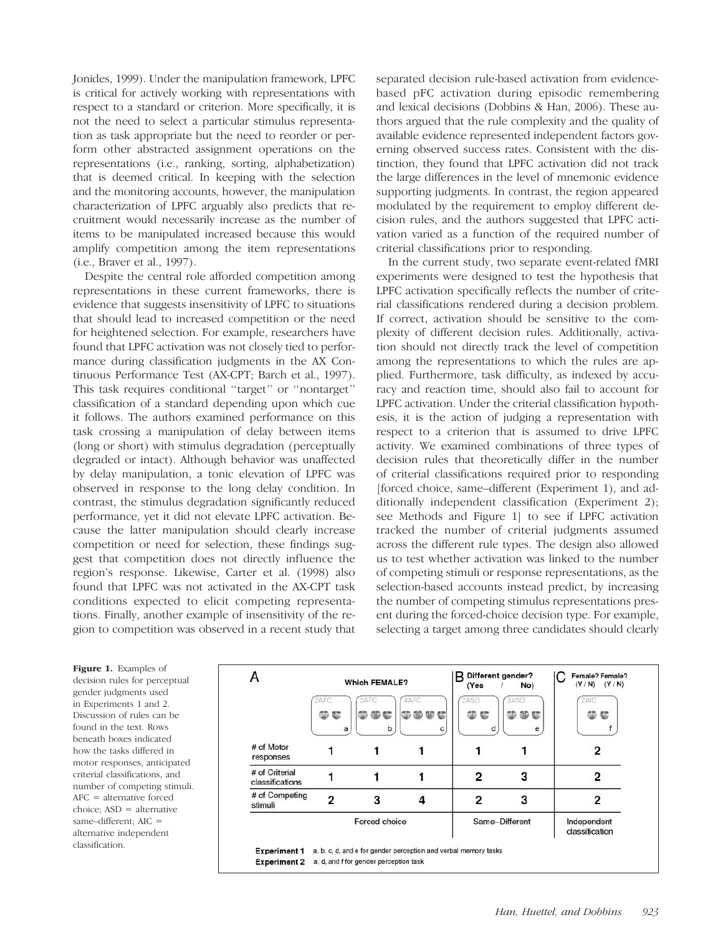Jonides, 1999). Under the manipulation framework, LPFC is critical for actively working with representations with respect to a standard or criterion. More specifically, it is not the need to select a particular stimulus representation as task appropriate but the need to reorder or perform other abstracted assignment operations on the representations (i.e., ranking, sorting, alphabetization) that is deemed critical. In keeping with the selection and the monitoring accounts, however, the manipulation characterization of LPFC arguably also predicts that recruitment would necessarily increase as the number of items to be manipulated increased because this would amplify competition among the item representations (i.e., Braver et al., 1997).

Despite the central role afforded competition among representations in these current frameworks, there is evidence that suggests insensitivity of LPFC to situations that should lead to increased competition or the need for heightened selection. For example, researchers have found that LPFC activation was not closely tied to performance during classification judgments in the AX Continuous Performance Test (AX-CPT; Barch et al., 1997). This task requires conditional ''target'' or ''nontarget'' classification of a standard depending upon which cue it follows. The authors examined performance on this task crossing a manipulation of delay between items (long or short) with stimulus degradation (perceptually degraded or intact). Although behavior was unaffected by delay manipulation, a tonic elevation of LPFC was observed in response to the long delay condition. In contrast, the stimulus degradation significantly reduced performance, yet it did not elevate LPFC activation. Because the latter manipulation should clearly increase competition or need for selection, these findings suggest that competition does not directly influence the region's response. Likewise, Carter et al. (1998) also found that LPFC was not activated in the AX-CPT task conditions expected to elicit competing representations. Finally, another example of insensitivity of the region to competition was observed in a recent study that separated decision rule-based activation from evidencebased pFC activation during episodic remembering and lexical decisions (Dobbins & Han, 2006). These authors argued that the rule complexity and the quality of available evidence represented independent factors governing observed success rates. Consistent with the distinction, they found that LPFC activation did not track the large differences in the level of mnemonic evidence supporting judgments. In contrast, the region appeared modulated by the requirement to employ different decision rules, and the authors suggested that LPFC activation varied as a function of the required number of criterial classifications prior to responding.

In the current study, two separate event-related fMRI experiments were designed to test the hypothesis that LPFC activation specifically reflects the number of criterial classifications rendered during a decision problem. If correct, activation should be sensitive to the complexity of different decision rules. Additionally, activation should not directly track the level of competition among the representations to which the rules are applied. Furthermore, task difficulty, as indexed by accuracy and reaction time, should also fail to account for LPFC activation. Under the criterial classification hypothesis, it is the action of judging a representation with respect to a criterion that is assumed to drive LPFC activity. We examined combinations of three types of decision rules that theoretically differ in the number of criterial classifications required prior to responding [forced choice, same–different (Experiment 1), and additionally independent classification (Experiment 2); see Methods and Figure 1] to see if LPFC activation tracked the number of criterial judgments assumed across the different rule types. The design also allowed us to test whether activation was linked to the number of competing stimuli or response representations, as the selection-based accounts instead predict, by increasing the number of competing stimulus representations present during the forced-choice decision type. For example, selecting a target among three candidates should clearly

Figure 1. Examples of decision rules for perceptual gender judgments used in Experiments 1 and 2. Discussion of rules can be found in the text. Rows beneath boxes indicated how the tasks differed in motor responses, anticipated criterial classifications, and number of competing stimuli. AFC = alternative forced choice; ASD = alternative same–different; AIC = alternative independent classification.

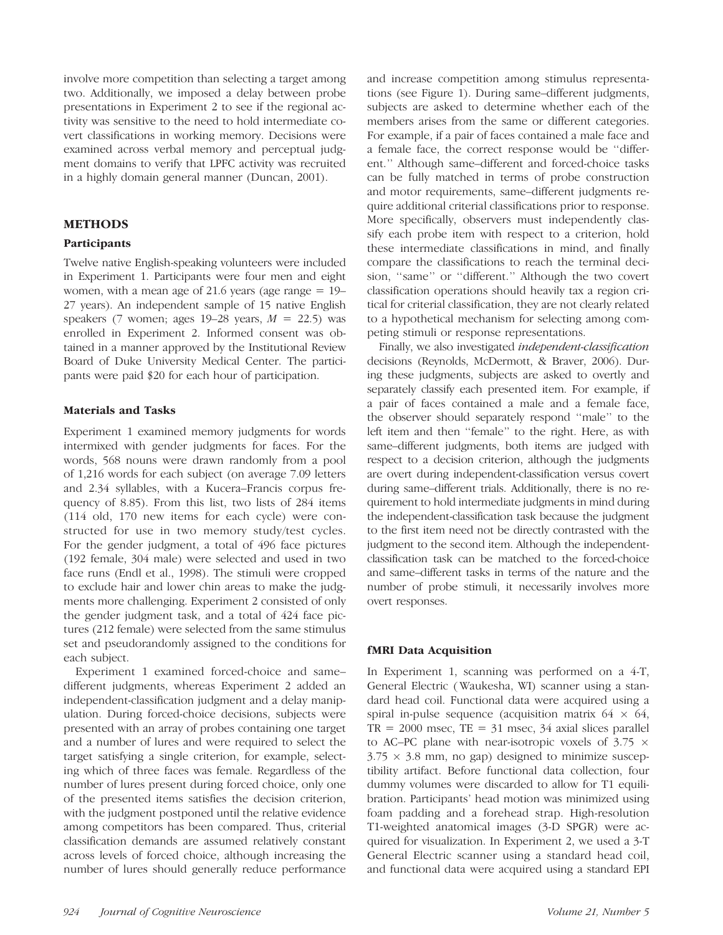involve more competition than selecting a target among two. Additionally, we imposed a delay between probe presentations in Experiment 2 to see if the regional activity was sensitive to the need to hold intermediate covert classifications in working memory. Decisions were examined across verbal memory and perceptual judgment domains to verify that LPFC activity was recruited in a highly domain general manner (Duncan, 2001).

# METHODS

# Participants

Twelve native English-speaking volunteers were included in Experiment 1. Participants were four men and eight women, with a mean age of 21.6 years (age range = 19– 27 years). An independent sample of 15 native English speakers (7 women; ages  $19-28$  years,  $M = 22.5$ ) was enrolled in Experiment 2. Informed consent was obtained in a manner approved by the Institutional Review Board of Duke University Medical Center. The participants were paid \$20 for each hour of participation.

# Materials and Tasks

Experiment 1 examined memory judgments for words intermixed with gender judgments for faces. For the words, 568 nouns were drawn randomly from a pool of 1,216 words for each subject (on average 7.09 letters and 2.34 syllables, with a Kucera–Francis corpus frequency of 8.85). From this list, two lists of 284 items (114 old, 170 new items for each cycle) were constructed for use in two memory study/test cycles. For the gender judgment, a total of 496 face pictures (192 female, 304 male) were selected and used in two face runs (Endl et al., 1998). The stimuli were cropped to exclude hair and lower chin areas to make the judgments more challenging. Experiment 2 consisted of only the gender judgment task, and a total of 424 face pictures (212 female) were selected from the same stimulus set and pseudorandomly assigned to the conditions for each subject.

Experiment 1 examined forced-choice and same– different judgments, whereas Experiment 2 added an independent-classification judgment and a delay manipulation. During forced-choice decisions, subjects were presented with an array of probes containing one target and a number of lures and were required to select the target satisfying a single criterion, for example, selecting which of three faces was female. Regardless of the number of lures present during forced choice, only one of the presented items satisfies the decision criterion, with the judgment postponed until the relative evidence among competitors has been compared. Thus, criterial classification demands are assumed relatively constant across levels of forced choice, although increasing the number of lures should generally reduce performance and increase competition among stimulus representations (see Figure 1). During same–different judgments, subjects are asked to determine whether each of the members arises from the same or different categories. For example, if a pair of faces contained a male face and a female face, the correct response would be ''different.'' Although same–different and forced-choice tasks can be fully matched in terms of probe construction and motor requirements, same–different judgments require additional criterial classifications prior to response. More specifically, observers must independently classify each probe item with respect to a criterion, hold these intermediate classifications in mind, and finally compare the classifications to reach the terminal decision, ''same'' or ''different.'' Although the two covert classification operations should heavily tax a region critical for criterial classification, they are not clearly related to a hypothetical mechanism for selecting among competing stimuli or response representations.

Finally, we also investigated independent-classification decisions (Reynolds, McDermott, & Braver, 2006). During these judgments, subjects are asked to overtly and separately classify each presented item. For example, if a pair of faces contained a male and a female face, the observer should separately respond ''male'' to the left item and then ''female'' to the right. Here, as with same–different judgments, both items are judged with respect to a decision criterion, although the judgments are overt during independent-classification versus covert during same–different trials. Additionally, there is no requirement to hold intermediate judgments in mind during the independent-classification task because the judgment to the first item need not be directly contrasted with the judgment to the second item. Although the independentclassification task can be matched to the forced-choice and same–different tasks in terms of the nature and the number of probe stimuli, it necessarily involves more overt responses.

#### fMRI Data Acquisition

In Experiment 1, scanning was performed on a 4-T, General Electric ( Waukesha, WI) scanner using a standard head coil. Functional data were acquired using a spiral in-pulse sequence (acquisition matrix  $64 \times 64$ ,  $TR = 2000$  msec,  $TE = 31$  msec, 34 axial slices parallel to AC–PC plane with near-isotropic voxels of  $3.75 \times$  $3.75 \times 3.8$  mm, no gap) designed to minimize susceptibility artifact. Before functional data collection, four dummy volumes were discarded to allow for T1 equilibration. Participants' head motion was minimized using foam padding and a forehead strap. High-resolution T1-weighted anatomical images (3-D SPGR) were acquired for visualization. In Experiment 2, we used a 3-T General Electric scanner using a standard head coil, and functional data were acquired using a standard EPI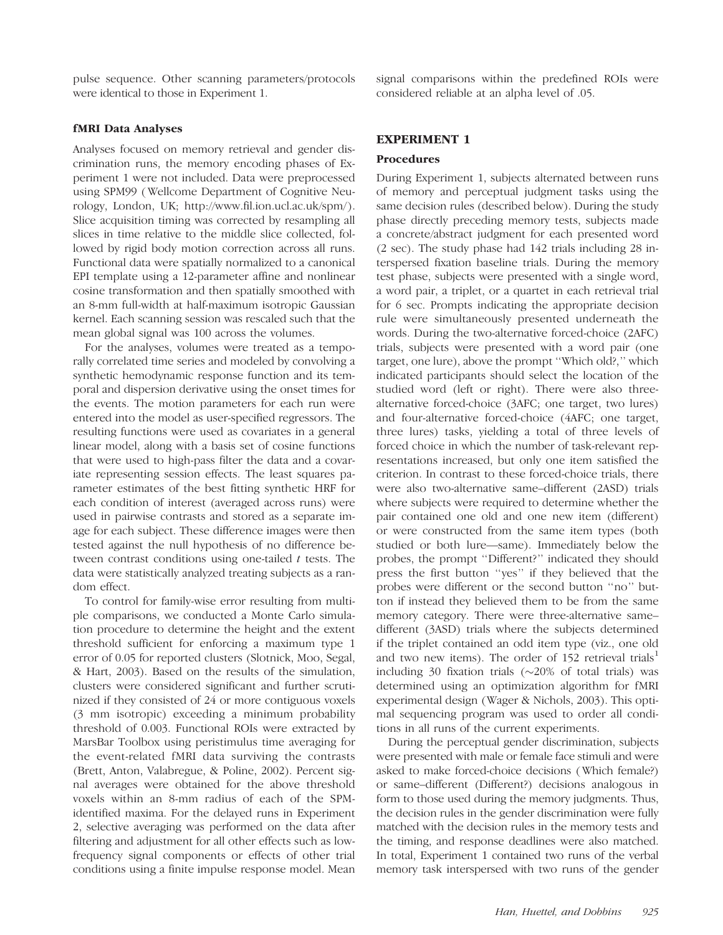pulse sequence. Other scanning parameters/protocols were identical to those in Experiment 1.

# fMRI Data Analyses

Analyses focused on memory retrieval and gender discrimination runs, the memory encoding phases of Experiment 1 were not included. Data were preprocessed using SPM99 ( Wellcome Department of Cognitive Neurology, London, UK; http://www.fil.ion.ucl.ac.uk/spm/). Slice acquisition timing was corrected by resampling all slices in time relative to the middle slice collected, followed by rigid body motion correction across all runs. Functional data were spatially normalized to a canonical EPI template using a 12-parameter affine and nonlinear cosine transformation and then spatially smoothed with an 8-mm full-width at half-maximum isotropic Gaussian kernel. Each scanning session was rescaled such that the mean global signal was 100 across the volumes.

For the analyses, volumes were treated as a temporally correlated time series and modeled by convolving a synthetic hemodynamic response function and its temporal and dispersion derivative using the onset times for the events. The motion parameters for each run were entered into the model as user-specified regressors. The resulting functions were used as covariates in a general linear model, along with a basis set of cosine functions that were used to high-pass filter the data and a covariate representing session effects. The least squares parameter estimates of the best fitting synthetic HRF for each condition of interest (averaged across runs) were used in pairwise contrasts and stored as a separate image for each subject. These difference images were then tested against the null hypothesis of no difference between contrast conditions using one-tailed  $t$  tests. The data were statistically analyzed treating subjects as a random effect.

To control for family-wise error resulting from multiple comparisons, we conducted a Monte Carlo simulation procedure to determine the height and the extent threshold sufficient for enforcing a maximum type 1 error of 0.05 for reported clusters (Slotnick, Moo, Segal, & Hart, 2003). Based on the results of the simulation, clusters were considered significant and further scrutinized if they consisted of 24 or more contiguous voxels (3 mm isotropic) exceeding a minimum probability threshold of 0.003. Functional ROIs were extracted by MarsBar Toolbox using peristimulus time averaging for the event-related fMRI data surviving the contrasts (Brett, Anton, Valabregue, & Poline, 2002). Percent signal averages were obtained for the above threshold voxels within an 8-mm radius of each of the SPMidentified maxima. For the delayed runs in Experiment 2, selective averaging was performed on the data after filtering and adjustment for all other effects such as lowfrequency signal components or effects of other trial conditions using a finite impulse response model. Mean

signal comparisons within the predefined ROIs were considered reliable at an alpha level of .05.

# EXPERIMENT 1

# Procedures

During Experiment 1, subjects alternated between runs of memory and perceptual judgment tasks using the same decision rules (described below). During the study phase directly preceding memory tests, subjects made a concrete/abstract judgment for each presented word (2 sec). The study phase had 142 trials including 28 interspersed fixation baseline trials. During the memory test phase, subjects were presented with a single word, a word pair, a triplet, or a quartet in each retrieval trial for 6 sec. Prompts indicating the appropriate decision rule were simultaneously presented underneath the words. During the two-alternative forced-choice (2AFC) trials, subjects were presented with a word pair (one target, one lure), above the prompt ''Which old?,'' which indicated participants should select the location of the studied word (left or right). There were also threealternative forced-choice (3AFC; one target, two lures) and four-alternative forced-choice (4AFC; one target, three lures) tasks, yielding a total of three levels of forced choice in which the number of task-relevant representations increased, but only one item satisfied the criterion. In contrast to these forced-choice trials, there were also two-alternative same–different (2ASD) trials where subjects were required to determine whether the pair contained one old and one new item (different) or were constructed from the same item types (both studied or both lure—same). Immediately below the probes, the prompt ''Different?'' indicated they should press the first button ''yes'' if they believed that the probes were different or the second button ''no'' button if instead they believed them to be from the same memory category. There were three-alternative same– different (3ASD) trials where the subjects determined if the triplet contained an odd item type (viz., one old and two new items). The order of 152 retrieval trials<sup>1</sup> including 30 fixation trials  $(\sim]20\%$  of total trials) was determined using an optimization algorithm for fMRI experimental design (Wager & Nichols, 2003). This optimal sequencing program was used to order all conditions in all runs of the current experiments.

During the perceptual gender discrimination, subjects were presented with male or female face stimuli and were asked to make forced-choice decisions ( Which female?) or same–different (Different?) decisions analogous in form to those used during the memory judgments. Thus, the decision rules in the gender discrimination were fully matched with the decision rules in the memory tests and the timing, and response deadlines were also matched. In total, Experiment 1 contained two runs of the verbal memory task interspersed with two runs of the gender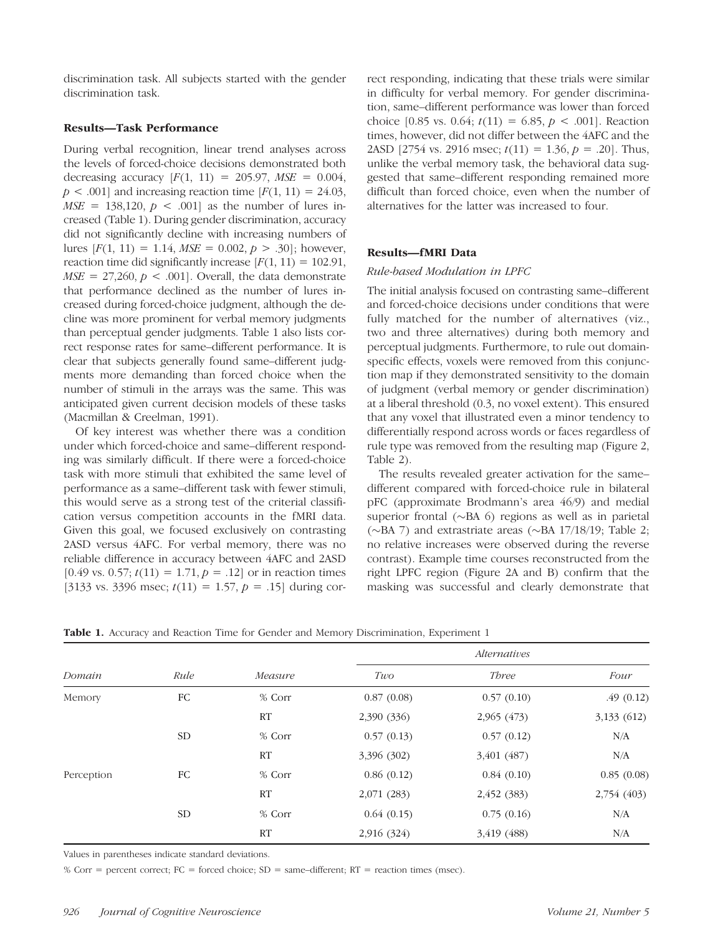discrimination task. All subjects started with the gender discrimination task.

#### Results—Task Performance

During verbal recognition, linear trend analyses across the levels of forced-choice decisions demonstrated both decreasing accuracy  $[F(1, 11) = 205.97, MSE = 0.004,$  $p < .001$  and increasing reaction time  $F(1, 11) = 24.03$ ,  $MSE = 138,120, p \lt 0.001$  as the number of lures increased (Table 1). During gender discrimination, accuracy did not significantly decline with increasing numbers of lures  $[F(1, 11) = 1.14, MSE = 0.002, p > .30]$ ; however, reaction time did significantly increase  $[F(1, 11) = 102.91]$ ,  $MSE = 27,260, p < .001$ . Overall, the data demonstrate that performance declined as the number of lures increased during forced-choice judgment, although the decline was more prominent for verbal memory judgments than perceptual gender judgments. Table 1 also lists correct response rates for same–different performance. It is clear that subjects generally found same–different judgments more demanding than forced choice when the number of stimuli in the arrays was the same. This was anticipated given current decision models of these tasks (Macmillan & Creelman, 1991).

Of key interest was whether there was a condition under which forced-choice and same–different responding was similarly difficult. If there were a forced-choice task with more stimuli that exhibited the same level of performance as a same–different task with fewer stimuli, this would serve as a strong test of the criterial classification versus competition accounts in the fMRI data. Given this goal, we focused exclusively on contrasting 2ASD versus 4AFC. For verbal memory, there was no reliable difference in accuracy between 4AFC and 2ASD  $[0.49 \text{ vs. } 0.57; t(11) = 1.71, p = .12]$  or in reaction times [3133 vs. 3396 msec;  $t(11) = 1.57$ ,  $p = .15$ ] during cor-

rect responding, indicating that these trials were similar in difficulty for verbal memory. For gender discrimination, same–different performance was lower than forced choice [0.85 vs. 0.64;  $t(11) = 6.85$ ,  $p < .001$ ]. Reaction times, however, did not differ between the 4AFC and the 2ASD [2754 vs. 2916 msec;  $t(11) = 1.36$ ,  $p = .20$ ]. Thus, unlike the verbal memory task, the behavioral data suggested that same–different responding remained more difficult than forced choice, even when the number of alternatives for the latter was increased to four.

# Results—fMRI Data

# Rule-based Modulation in LPFC

The initial analysis focused on contrasting same–different and forced-choice decisions under conditions that were fully matched for the number of alternatives (viz., two and three alternatives) during both memory and perceptual judgments. Furthermore, to rule out domainspecific effects, voxels were removed from this conjunction map if they demonstrated sensitivity to the domain of judgment (verbal memory or gender discrimination) at a liberal threshold (0.3, no voxel extent). This ensured that any voxel that illustrated even a minor tendency to differentially respond across words or faces regardless of rule type was removed from the resulting map (Figure 2, Table 2).

The results revealed greater activation for the same– different compared with forced-choice rule in bilateral pFC (approximate Brodmann's area 46/9) and medial superior frontal  $(\sim$ BA 6) regions as well as in parietal  $(\sim$ BA 7) and extrastriate areas ( $\sim$ BA 17/18/19; Table 2; no relative increases were observed during the reverse contrast). Example time courses reconstructed from the right LPFC region (Figure 2A and B) confirm that the masking was successful and clearly demonstrate that

|  |  |  |  |  |  | Table 1. Accuracy and Reaction Time for Gender and Memory Discrimination, Experiment 1 |  |  |
|--|--|--|--|--|--|----------------------------------------------------------------------------------------|--|--|
|--|--|--|--|--|--|----------------------------------------------------------------------------------------|--|--|

|            |           |         |             | <i>Alternatives</i> |             |
|------------|-----------|---------|-------------|---------------------|-------------|
| Domain     | Rule      | Measure | Two         | <i>Three</i>        | Four        |
| Memory     | FC        | % Corr  | 0.87(0.08)  | 0.57(0.10)          | .49(0.12)   |
|            |           | RT      | 2,390 (336) | 2,965 (473)         | 3,133 (612) |
|            | <b>SD</b> | % Corr  | 0.57(0.13)  | 0.57(0.12)          | N/A         |
|            |           | RT      | 3,396 (302) | 3,401 (487)         | N/A         |
| Perception | FC        | % Corr  | 0.86(0.12)  | 0.84(0.10)          | 0.85(0.08)  |
|            |           | RT      | 2,071 (283) | 2,452 (383)         | 2,754 (403) |
|            | <b>SD</b> | % Corr  | 0.64(0.15)  | 0.75(0.16)          | N/A         |
|            |           | RT      | 2,916 (324) | 3,419 (488)         | N/A         |

Values in parentheses indicate standard deviations.

% Corr = percent correct; FC = forced choice; SD = same–different; RT = reaction times (msec).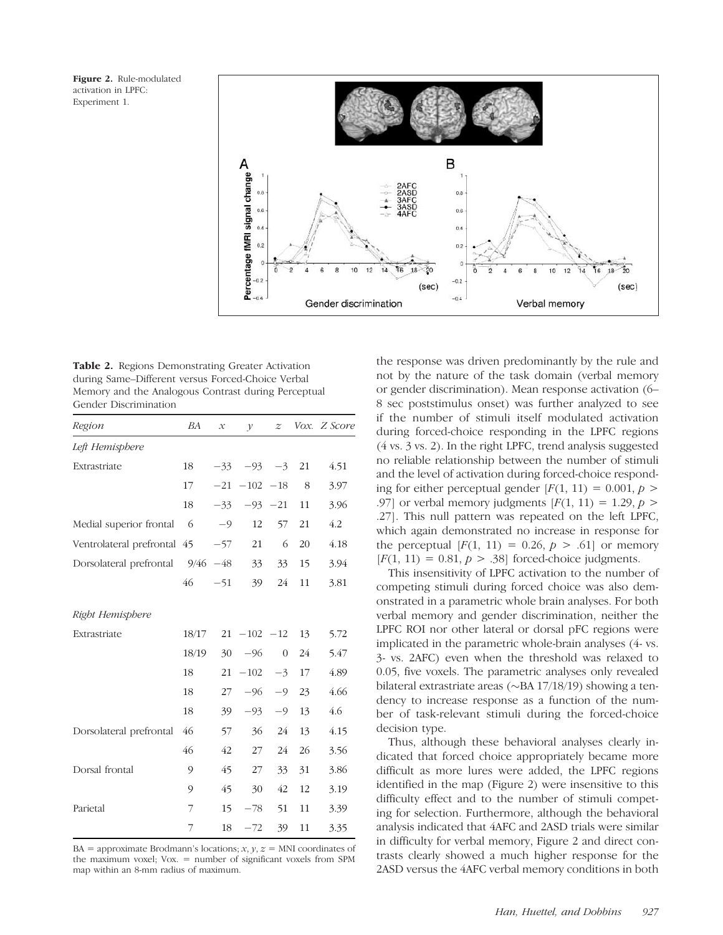Figure 2. Rule-modulated activation in LPFC: Experiment 1.



Table 2. Regions Demonstrating Greater Activation during Same–Different versus Forced-Choice Verbal Memory and the Analogous Contrast during Perceptual Gender Discrimination

| Region                   | BA    | $\mathcal{X}% _{0}$ | $\mathcal V$ | $\boldsymbol{z}$ |    | Vox. Z Score |
|--------------------------|-------|---------------------|--------------|------------------|----|--------------|
| Left Hemisphere          |       |                     |              |                  |    |              |
| Extrastriate             | 18    | $-33$               | $-93$        | $-3$             | 21 | 4.51         |
|                          | 17    | $-21$               | $-102$       | $-18$            | 8  | 3.97         |
|                          | 18    | $-33$               | $-93$        | $-21$            | 11 | 3.96         |
| Medial superior frontal  | 6     | $-9$                | 12           | 57               | 21 | 4.2          |
| Ventrolateral prefrontal | 45    | $-57$               | 21           | 6                | 20 | 4.18         |
| Dorsolateral prefrontal  | 9/46  | $-48$               | 33           | 33               | 15 | 3.94         |
|                          | 46    | $-51$               | 39           | 24               | 11 | 3.81         |
| Right Hemisphere         |       |                     |              |                  |    |              |
| Extrastriate             | 18/17 | 21                  | $-102$       | $-12$            | 13 | 5.72         |
|                          | 18/19 | 30                  | $-96$        | $\overline{0}$   | 24 | 5.47         |
|                          | 18    | 21                  | $-102$       | $-3$             | 17 | 4.89         |
|                          | 18    | 27                  | $-96$        | $-9$             | 23 | 4.66         |
|                          | 18    | 39                  | $-93$        | -9               | 13 | 4.6          |
| Dorsolateral prefrontal  | 46    | 57                  | 36           | 24               | 13 | 4.15         |
|                          | 46    | 42                  | 27           | 24               | 26 | 3.56         |
| Dorsal frontal           | 9     | 45                  | 27           | 33               | 31 | 3.86         |
|                          | 9     | 45                  | 30           | 42               | 12 | 3.19         |
| Parietal                 | 7     | 15                  | $-78$        | 51               | 11 | 3.39         |
|                          | 7     | 18                  | $-72$        | 39               | 11 | 3.35         |

BA = approximate Brodmann's locations;  $x, y, z = MNI$  coordinates of the maximum voxel; Vox. = number of significant voxels from SPM map within an 8-mm radius of maximum.

the response was driven predominantly by the rule and not by the nature of the task domain (verbal memory or gender discrimination). Mean response activation (6– 8 sec poststimulus onset) was further analyzed to see if the number of stimuli itself modulated activation during forced-choice responding in the LPFC regions (4 vs. 3 vs. 2). In the right LPFC, trend analysis suggested no reliable relationship between the number of stimuli and the level of activation during forced-choice responding for either perceptual gender  $[F(1, 11) = 0.001, p >$ .97] or verbal memory judgments  $[F(1, 11) = 1.29, p >$ .27]. This null pattern was repeated on the left LPFC, which again demonstrated no increase in response for the perceptual  $[F(1, 11) = 0.26, p > .61]$  or memory  $[F(1, 11) = 0.81, p > .38]$  forced-choice judgments.

This insensitivity of LPFC activation to the number of competing stimuli during forced choice was also demonstrated in a parametric whole brain analyses. For both verbal memory and gender discrimination, neither the LPFC ROI nor other lateral or dorsal pFC regions were implicated in the parametric whole-brain analyses (4- vs. 3- vs. 2AFC) even when the threshold was relaxed to 0.05, five voxels. The parametric analyses only revealed bilateral extrastriate areas  $(\sim$ BA 17/18/19) showing a tendency to increase response as a function of the number of task-relevant stimuli during the forced-choice decision type.

Thus, although these behavioral analyses clearly indicated that forced choice appropriately became more difficult as more lures were added, the LPFC regions identified in the map (Figure 2) were insensitive to this difficulty effect and to the number of stimuli competing for selection. Furthermore, although the behavioral analysis indicated that 4AFC and 2ASD trials were similar in difficulty for verbal memory, Figure 2 and direct contrasts clearly showed a much higher response for the 2ASD versus the 4AFC verbal memory conditions in both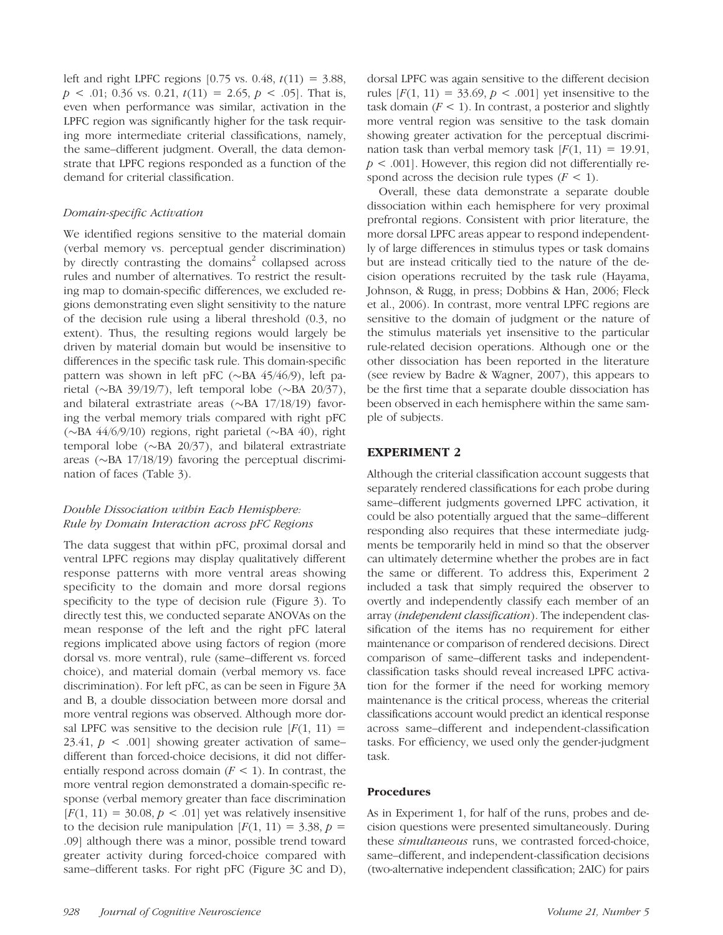left and right LPFC regions  $[0.75 \text{ vs. } 0.48, t(11) = 3.88,$  $p \lt 0.01$ ; 0.36 vs. 0.21,  $t(11) = 2.65$ ,  $p \lt 0.05$ . That is, even when performance was similar, activation in the LPFC region was significantly higher for the task requiring more intermediate criterial classifications, namely, the same–different judgment. Overall, the data demonstrate that LPFC regions responded as a function of the demand for criterial classification.

#### Domain-specific Activation

We identified regions sensitive to the material domain (verbal memory vs. perceptual gender discrimination) by directly contrasting the domains $2$  collapsed across rules and number of alternatives. To restrict the resulting map to domain-specific differences, we excluded regions demonstrating even slight sensitivity to the nature of the decision rule using a liberal threshold (0.3, no extent). Thus, the resulting regions would largely be driven by material domain but would be insensitive to differences in the specific task rule. This domain-specific pattern was shown in left pFC ( $\sim$ BA 45/46/9), left parietal ( $\sim$ BA 39/19/7), left temporal lobe ( $\sim$ BA 20/37), and bilateral extrastriate areas  $(\sim$ BA 17/18/19) favoring the verbal memory trials compared with right pFC  $(\sim$ BA 44/6/9/10) regions, right parietal ( $\sim$ BA 40), right temporal lobe  $(\sim$ BA 20/37), and bilateral extrastriate areas  $(\sim$ BA 17/18/19) favoring the perceptual discrimination of faces (Table 3).

# Double Dissociation within Each Hemisphere: Rule by Domain Interaction across pFC Regions

The data suggest that within pFC, proximal dorsal and ventral LPFC regions may display qualitatively different response patterns with more ventral areas showing specificity to the domain and more dorsal regions specificity to the type of decision rule (Figure 3). To directly test this, we conducted separate ANOVAs on the mean response of the left and the right pFC lateral regions implicated above using factors of region (more dorsal vs. more ventral), rule (same–different vs. forced choice), and material domain (verbal memory vs. face discrimination). For left pFC, as can be seen in Figure 3A and B, a double dissociation between more dorsal and more ventral regions was observed. Although more dorsal LPFC was sensitive to the decision rule  $[F(1, 11) =$ 23.41,  $p \le 0.001$  showing greater activation of samedifferent than forced-choice decisions, it did not differentially respond across domain  $(F < 1)$ . In contrast, the more ventral region demonstrated a domain-specific response (verbal memory greater than face discrimination  $[F(1, 11) = 30.08, p < .01]$  yet was relatively insensitive to the decision rule manipulation  $[F(1, 11) = 3.38, p =$ .09] although there was a minor, possible trend toward greater activity during forced-choice compared with same–different tasks. For right pFC (Figure 3C and D), dorsal LPFC was again sensitive to the different decision rules  $[F(1, 11) = 33.69, p < .001]$  yet insensitive to the task domain  $(F < 1)$ . In contrast, a posterior and slightly more ventral region was sensitive to the task domain showing greater activation for the perceptual discrimination task than verbal memory task  $[F(1, 11) = 19.91]$ ,  $p < .001$ . However, this region did not differentially respond across the decision rule types  $(F < 1)$ .

Overall, these data demonstrate a separate double dissociation within each hemisphere for very proximal prefrontal regions. Consistent with prior literature, the more dorsal LPFC areas appear to respond independently of large differences in stimulus types or task domains but are instead critically tied to the nature of the decision operations recruited by the task rule (Hayama, Johnson, & Rugg, in press; Dobbins & Han, 2006; Fleck et al., 2006). In contrast, more ventral LPFC regions are sensitive to the domain of judgment or the nature of the stimulus materials yet insensitive to the particular rule-related decision operations. Although one or the other dissociation has been reported in the literature (see review by Badre & Wagner, 2007), this appears to be the first time that a separate double dissociation has been observed in each hemisphere within the same sample of subjects.

# EXPERIMENT 2

Although the criterial classification account suggests that separately rendered classifications for each probe during same–different judgments governed LPFC activation, it could be also potentially argued that the same–different responding also requires that these intermediate judgments be temporarily held in mind so that the observer can ultimately determine whether the probes are in fact the same or different. To address this, Experiment 2 included a task that simply required the observer to overtly and independently classify each member of an array (independent classification). The independent classification of the items has no requirement for either maintenance or comparison of rendered decisions. Direct comparison of same–different tasks and independentclassification tasks should reveal increased LPFC activation for the former if the need for working memory maintenance is the critical process, whereas the criterial classifications account would predict an identical response across same–different and independent-classification tasks. For efficiency, we used only the gender-judgment task.

# Procedures

As in Experiment 1, for half of the runs, probes and decision questions were presented simultaneously. During these simultaneous runs, we contrasted forced-choice, same–different, and independent-classification decisions (two-alternative independent classification; 2AIC) for pairs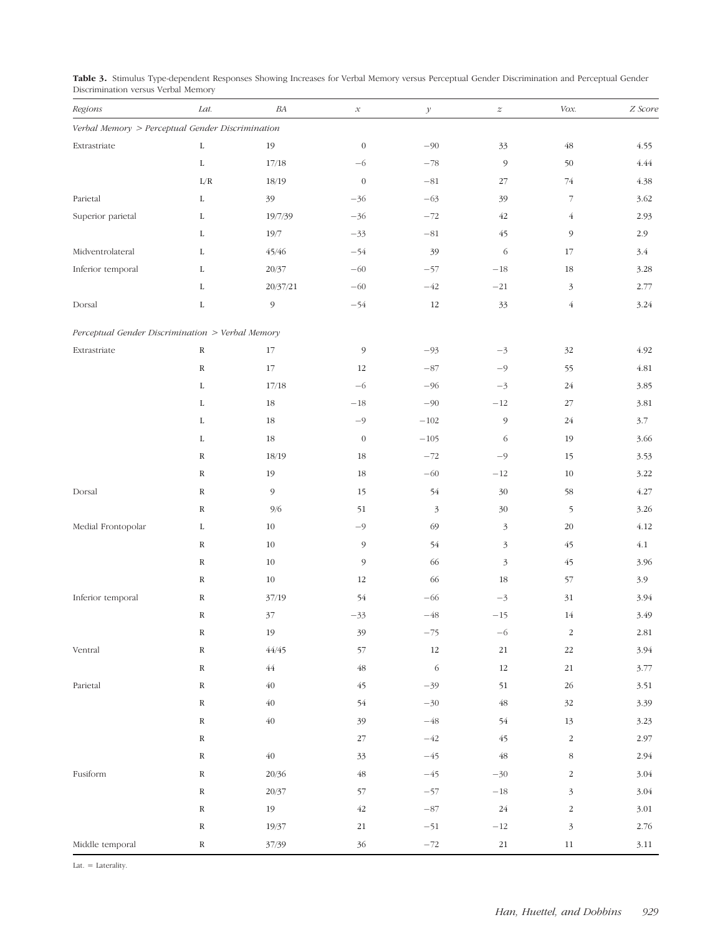|  |                                     | Table 3. Stimulus Type-dependent Responses Showing Increases for Verbal Memory versus Perceptual Gender Discrimination and Perceptual Gender |  |  |  |  |
|--|-------------------------------------|----------------------------------------------------------------------------------------------------------------------------------------------|--|--|--|--|
|  | Discrimination versus Verbal Memory |                                                                                                                                              |  |  |  |  |

| Regions                                          | Lat.         | $B\!A$         | $\mathcal{X}% _{0}=\mathcal{X}_{0}=\mathcal{X}_{0}=\mathcal{X}_{1}=\mathcal{X}_{1}=\mathcal{X}_{2}=\mathcal{X}_{1}=\mathcal{X}_{2}=\mathcal{X}_{3}=\mathcal{X}_{4}=\mathcal{X}_{5}=\mathcal{X}_{6}=\mathcal{X}_{7}=\mathcal{X}_{8}=\mathcal{X}_{9}=\mathcal{X}_{1}=\mathcal{X}_{1}=\mathcal{X}_{1}=\mathcal{X}_{2}=\mathcal{X}_{3}=\mathcal{X}_{4}=\mathcal{X}_{5}=\mathcal{X}_{6}=\mathcal{X}_{7}=\mathcal{X}_{8}=\mathcal{X}_{9}=\mathcal{X}_{1}=\math$ | $\mathcal Y$   | $\boldsymbol{z}$ | Vox.                    | Z Score |
|--------------------------------------------------|--------------|----------------|-----------------------------------------------------------------------------------------------------------------------------------------------------------------------------------------------------------------------------------------------------------------------------------------------------------------------------------------------------------------------------------------------------------------------------------------------------------|----------------|------------------|-------------------------|---------|
| Verbal Memory > Perceptual Gender Discrimination |              |                |                                                                                                                                                                                                                                                                                                                                                                                                                                                           |                |                  |                         |         |
| Extrastriate                                     | $\mathbf L$  | 19             | $\boldsymbol{0}$                                                                                                                                                                                                                                                                                                                                                                                                                                          | $-90$          | 33               | 48                      | 4.55    |
|                                                  | $\mathbf L$  | 17/18          | $-6$                                                                                                                                                                                                                                                                                                                                                                                                                                                      | $-78$          | $\overline{9}$   | 50                      | 4.44    |
|                                                  | $\rm L/R$    | 18/19          | $\overline{0}$                                                                                                                                                                                                                                                                                                                                                                                                                                            | $-81\,$        | 27               | 74                      | 4.38    |
| Parietal                                         | L            | 39             | $-36$                                                                                                                                                                                                                                                                                                                                                                                                                                                     | $-63$          | 39               | $\overline{7}$          | 3.62    |
| Superior parietal                                | L            | 19/7/39        | $-36$                                                                                                                                                                                                                                                                                                                                                                                                                                                     | $-72$          | 42               | $\overline{4}$          | 2.93    |
|                                                  | L            | 19/7           | $-33$                                                                                                                                                                                                                                                                                                                                                                                                                                                     | $-81\,$        | 45               | 9                       | 2.9     |
| Midventrolateral                                 | L            | 45/46          | $-54$                                                                                                                                                                                                                                                                                                                                                                                                                                                     | 39             | 6                | 17                      | 3.4     |
| Inferior temporal                                | L            | 20/37          | $-60$                                                                                                                                                                                                                                                                                                                                                                                                                                                     | $-57$          | $-18\,$          | 18                      | 3.28    |
|                                                  | L            | 20/37/21       | $-60$                                                                                                                                                                                                                                                                                                                                                                                                                                                     | $-42$          | $-21$            | 3                       | 2.77    |
| Dorsal                                           | $\mathbf L$  | $\overline{9}$ | $-54$                                                                                                                                                                                                                                                                                                                                                                                                                                                     | 12             | 33               | $\overline{4}$          | 3.24    |
| Perceptual Gender Discrimination > Verbal Memory |              |                |                                                                                                                                                                                                                                                                                                                                                                                                                                                           |                |                  |                         |         |
| Extrastriate                                     | ${\bf R}$    | 17             | $\overline{9}$                                                                                                                                                                                                                                                                                                                                                                                                                                            | $-93$          | $-3$             | 32                      | 4.92    |
|                                                  | ${\bf R}$    | 17             | 12                                                                                                                                                                                                                                                                                                                                                                                                                                                        | $-87$          | $-9$             | 55                      | 4.81    |
|                                                  | $\mathbf L$  | 17/18          | $-6$                                                                                                                                                                                                                                                                                                                                                                                                                                                      | $-96$          | $-3$             | 24                      | 3.85    |
|                                                  | L            | $18\,$         | $-18$                                                                                                                                                                                                                                                                                                                                                                                                                                                     | $-90$          | $-12$            | 27                      | 3.81    |
|                                                  | L            | 18             | $-9$                                                                                                                                                                                                                                                                                                                                                                                                                                                      | $-102$         | 9                | 24                      | 3.7     |
|                                                  | $\mathbf L$  | 18             | $\,0\,$                                                                                                                                                                                                                                                                                                                                                                                                                                                   | $-105$         | 6                | 19                      | 3.66    |
|                                                  | ${\bf R}$    | 18/19          | 18                                                                                                                                                                                                                                                                                                                                                                                                                                                        | $-72$          | $-9$             | 15                      | 3.53    |
|                                                  | $\mathbb{R}$ | 19             | 18                                                                                                                                                                                                                                                                                                                                                                                                                                                        | $-60$          | $-12$            | 10                      | 3.22    |
| Dorsal                                           | $\mathbb{R}$ | 9              | 15                                                                                                                                                                                                                                                                                                                                                                                                                                                        | 54             | 30               | 58                      | 4.27    |
|                                                  | ${\bf R}$    | 9/6            | 51                                                                                                                                                                                                                                                                                                                                                                                                                                                        | $\mathfrak{Z}$ | 30               | 5                       | 3.26    |
| Medial Frontopolar                               | L            | $10\,$         | $-9$                                                                                                                                                                                                                                                                                                                                                                                                                                                      | 69             | $\mathfrak{Z}$   | $20\,$                  | 4.12    |
|                                                  | $\mathbb{R}$ | 10             | $\overline{9}$                                                                                                                                                                                                                                                                                                                                                                                                                                            | 54             | 3                | 45                      | 4.1     |
|                                                  | $\rm R$      | 10             | 9                                                                                                                                                                                                                                                                                                                                                                                                                                                         | 66             | $\mathfrak{Z}$   | 45                      | 3.96    |
|                                                  | $\mathbb{R}$ | $10\,$         | 12                                                                                                                                                                                                                                                                                                                                                                                                                                                        | 66             | 18               | 57                      | 3.9     |
| Inferior temporal                                | R            | 37/19          | 54                                                                                                                                                                                                                                                                                                                                                                                                                                                        | $-66$          | $-3$             | 31                      | 3.94    |
|                                                  | $\mathbb{R}$ | 37             | $-33$                                                                                                                                                                                                                                                                                                                                                                                                                                                     | $-48$          | $-15$            | 14                      | 3.49    |
|                                                  | ${\bf R}$    | 19             | 39                                                                                                                                                                                                                                                                                                                                                                                                                                                        | $-75$          | $-6$             | $\overline{\mathbf{c}}$ | 2.81    |
| Ventral                                          | ${\bf R}$    | 44/45          | 57                                                                                                                                                                                                                                                                                                                                                                                                                                                        | $12\,$         | 21               | $22\,$                  | 3.94    |
|                                                  | ${\bf R}$    | $\sqrt{44}$    | $\sqrt{48}$                                                                                                                                                                                                                                                                                                                                                                                                                                               | 6              | 12               | 21                      | 3.77    |
| Parietal                                         | ${\bf R}$    | $40\,$         | 45                                                                                                                                                                                                                                                                                                                                                                                                                                                        | $-39$          | 51               | $26\,$                  | 3.51    |
|                                                  | ${\bf R}$    | $40\,$         | 54                                                                                                                                                                                                                                                                                                                                                                                                                                                        | $-30$          | $\sqrt{48}$      | 32                      | 3.39    |
|                                                  | ${\bf R}$    | $40\,$         | 39                                                                                                                                                                                                                                                                                                                                                                                                                                                        | $-48$          | 54               | 13                      | 3.23    |
|                                                  | ${\bf R}$    |                | $27\,$                                                                                                                                                                                                                                                                                                                                                                                                                                                    | $-42$          | 45               | $\overline{c}$          | 2.97    |
|                                                  | ${\bf R}$    | $40\,$         | 33                                                                                                                                                                                                                                                                                                                                                                                                                                                        | $-45$          | $\sqrt{48}$      | $\,$ 8 $\,$             | 2.94    |
| Fusiform                                         | ${\bf R}$    | 20/36          | $\sqrt{48}$                                                                                                                                                                                                                                                                                                                                                                                                                                               | $-45$          | $-30$            | $\overline{\mathbf{c}}$ | 3.04    |
|                                                  | ${\bf R}$    | 20/37          | 57                                                                                                                                                                                                                                                                                                                                                                                                                                                        | $-57$          | $-18\,$          | 3                       | 3.04    |
|                                                  | ${\bf R}$    | 19             | 42                                                                                                                                                                                                                                                                                                                                                                                                                                                        | $-87$          | 24               | $\overline{\mathbf{c}}$ | 3.01    |
|                                                  | ${\bf R}$    | 19/37          | 21                                                                                                                                                                                                                                                                                                                                                                                                                                                        | $-51$          | $-12$            | $\mathfrak{Z}$          | 2.76    |
| Middle temporal                                  | ${\bf R}$    | 37/39          | 36                                                                                                                                                                                                                                                                                                                                                                                                                                                        | $-72\,$        | $21\,$           | 11                      | 3.11    |

Lat. = Laterality.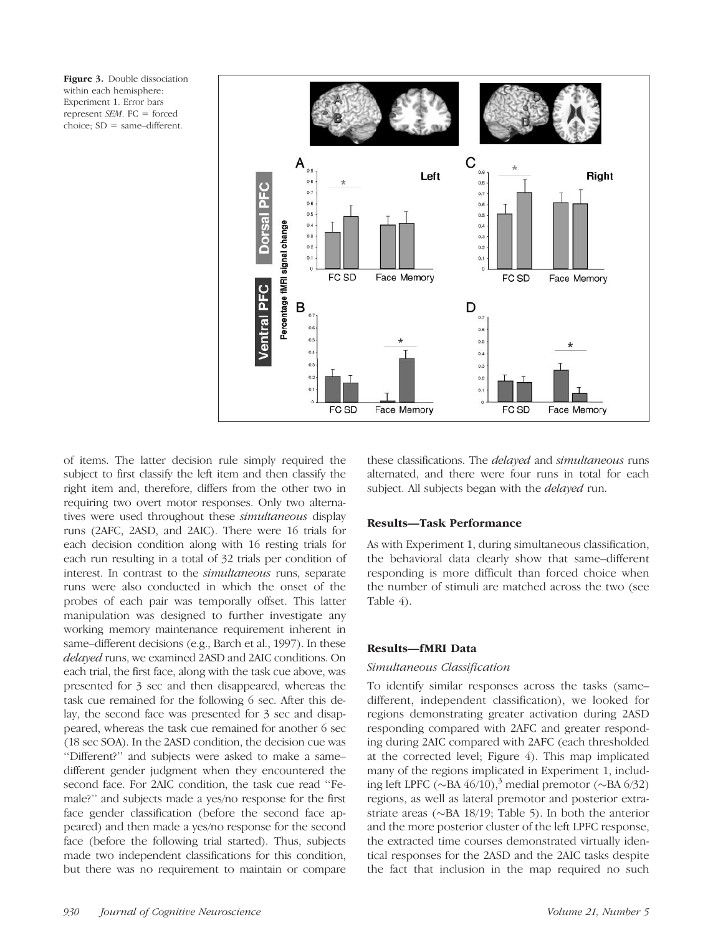Figure 3. Double dissociation within each hemisphere: Experiment 1. Error bars represent SEM. FC = forced choice; SD = same–different.



of items. The latter decision rule simply required the subject to first classify the left item and then classify the right item and, therefore, differs from the other two in requiring two overt motor responses. Only two alternatives were used throughout these *simultaneous* display runs (2AFC, 2ASD, and 2AIC). There were 16 trials for each decision condition along with 16 resting trials for each run resulting in a total of 32 trials per condition of interest. In contrast to the *simultaneous* runs, separate runs were also conducted in which the onset of the probes of each pair was temporally offset. This latter manipulation was designed to further investigate any working memory maintenance requirement inherent in same–different decisions (e.g., Barch et al., 1997). In these delayed runs, we examined 2ASD and 2AIC conditions. On each trial, the first face, along with the task cue above, was presented for 3 sec and then disappeared, whereas the task cue remained for the following 6 sec. After this delay, the second face was presented for 3 sec and disappeared, whereas the task cue remained for another 6 sec (18 sec SOA). In the 2ASD condition, the decision cue was ''Different?'' and subjects were asked to make a same– different gender judgment when they encountered the second face. For 2AIC condition, the task cue read ''Female?'' and subjects made a yes/no response for the first face gender classification (before the second face appeared) and then made a yes/no response for the second face (before the following trial started). Thus, subjects made two independent classifications for this condition, but there was no requirement to maintain or compare

these classifications. The *delayed* and simultaneous runs alternated, and there were four runs in total for each subject. All subjects began with the *delayed* run.

# Results—Task Performance

As with Experiment 1, during simultaneous classification, the behavioral data clearly show that same–different responding is more difficult than forced choice when the number of stimuli are matched across the two (see Table 4).

# Results—fMRI Data

# Simultaneous Classification

To identify similar responses across the tasks (same– different, independent classification), we looked for regions demonstrating greater activation during 2ASD responding compared with 2AFC and greater responding during 2AIC compared with 2AFC (each thresholded at the corrected level; Figure 4). This map implicated many of the regions implicated in Experiment 1, including left LPFC ( $\sim$ BA 46/10),<sup>3</sup> medial premotor ( $\sim$ BA 6/32) regions, as well as lateral premotor and posterior extrastriate areas ( $\sim$ BA 18/19; Table 5). In both the anterior and the more posterior cluster of the left LPFC response, the extracted time courses demonstrated virtually identical responses for the 2ASD and the 2AIC tasks despite the fact that inclusion in the map required no such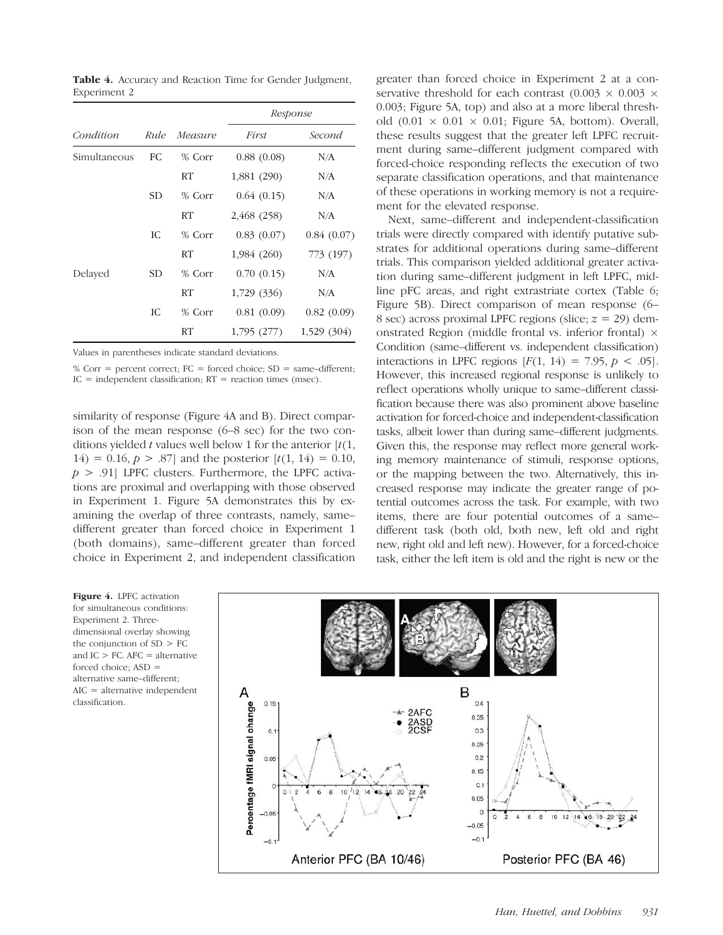**Table 4.** Accuracy and Reaction Time for Gender Judgment, Experiment 2

|              |           |         | Response    |             |
|--------------|-----------|---------|-------------|-------------|
| Condition    | Rule      | Measure | First       | Second      |
| Simultaneous | FC        | % Corr  | 0.88(0.08)  | N/A         |
|              |           | RT      | 1,881 (290) | N/A         |
|              | <b>SD</b> | % Corr  | 0.64(0.15)  | N/A         |
|              |           | RT      | 2,468 (258) | N/A         |
|              | IC        | % Corr  | 0.83(0.07)  | 0.84(0.07)  |
|              |           | RT      | 1,984 (260) | 773 (197)   |
| Delayed      | <b>SD</b> | % Corr  | 0.70(0.15)  | N/A         |
|              |           | RT      | 1,729 (336) | N/A         |
|              | IС        | % Corr  | 0.81(0.09)  | 0.82(0.09)  |
|              |           | RT      | 1,795(277)  | 1,529 (304) |

Values in parentheses indicate standard deviations.

% Corr = percent correct; FC = forced choice; SD = same–different;  $IC = independent classification; RT = reaction times (msec)$ .

similarity of response (Figure 4A and B). Direct comparison of the mean response (6–8 sec) for the two conditions yielded t values well below 1 for the anterior  $[t(1, \cdot)]$  $14$ ) = 0.16,  $p > .87$ ] and the posterior  $[t(1, 14) = 0.10]$ ,  $p > .91$ ] LPFC clusters. Furthermore, the LPFC activations are proximal and overlapping with those observed in Experiment 1. Figure 5A demonstrates this by examining the overlap of three contrasts, namely, same– different greater than forced choice in Experiment 1 (both domains), same–different greater than forced choice in Experiment 2, and independent classification greater than forced choice in Experiment 2 at a conservative threshold for each contrast (0.003  $\times$  0.003  $\times$ 0.003; Figure 5A, top) and also at a more liberal threshold  $(0.01 \times 0.01 \times 0.01;$  Figure 5A, bottom). Overall, these results suggest that the greater left LPFC recruitment during same–different judgment compared with forced-choice responding reflects the execution of two separate classification operations, and that maintenance of these operations in working memory is not a requirement for the elevated response.

Next, same–different and independent-classification trials were directly compared with identify putative substrates for additional operations during same–different trials. This comparison yielded additional greater activation during same–different judgment in left LPFC, midline pFC areas, and right extrastriate cortex (Table 6; Figure 5B). Direct comparison of mean response (6– 8 sec) across proximal LPFC regions (slice;  $z = 29$ ) demonstrated Region (middle frontal vs. inferior frontal)  $\times$ Condition (same–different vs. independent classification) interactions in LPFC regions  $[F(1, 14) = 7.95, p < .05]$ . However, this increased regional response is unlikely to reflect operations wholly unique to same–different classification because there was also prominent above baseline activation for forced-choice and independent-classification tasks, albeit lower than during same–different judgments. Given this, the response may reflect more general working memory maintenance of stimuli, response options, or the mapping between the two. Alternatively, this increased response may indicate the greater range of potential outcomes across the task. For example, with two items, there are four potential outcomes of a same– different task (both old, both new, left old and right new, right old and left new). However, for a forced-choice task, either the left item is old and the right is new or the

Figure 4. LPFC activation for simultaneous conditions: Experiment 2. Threedimensional overlay showing the conjunction of  $SD > FC$ and  $IC > FC$ . AFC = alternative forced choice; ASD = alternative same–different; AIC = alternative independent classification.

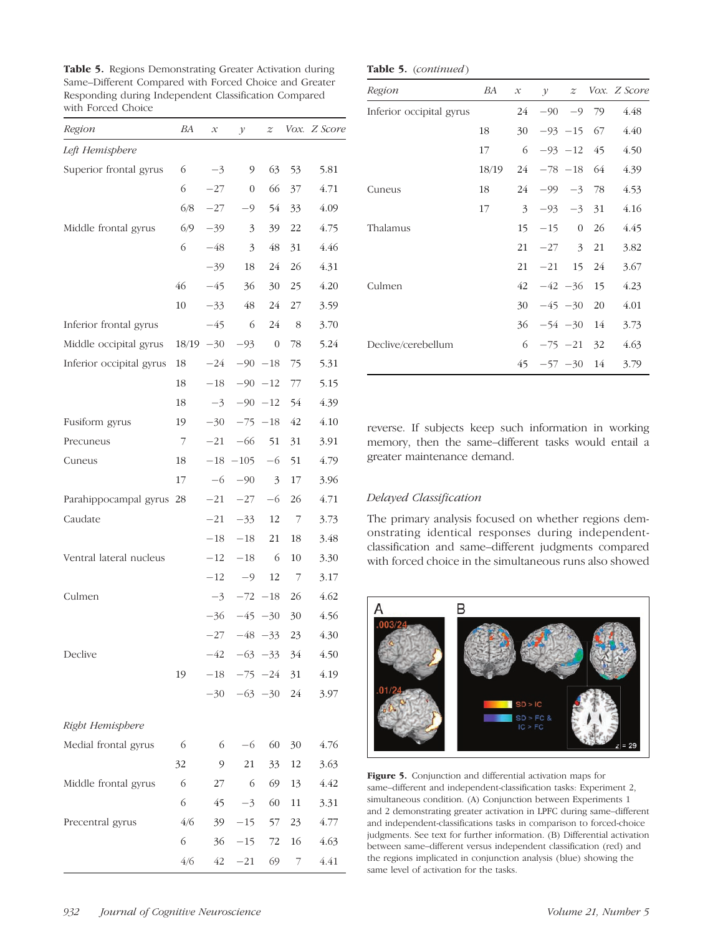| Region                   | ВA    | $\mathcal{X}% _{0}$ | $\mathcal{Y}$ | z                |    | Vox. Z Score |
|--------------------------|-------|---------------------|---------------|------------------|----|--------------|
| Left Hemisphere          |       |                     |               |                  |    |              |
| Superior frontal gyrus   | 6     | $-3$                | 9             | 63               | 53 | 5.81         |
|                          | 6     | $-27$               | 0             | 66               | 37 | 4.71         |
|                          | 6/8   | $-27$               | -9            | 54               | 33 | 4.09         |
| Middle frontal gyrus     | 6/9   | $-39$               | 3             | 39               | 22 | 4.75         |
|                          | 6     | $-48$               | 3             | 48               | 31 | 4.46         |
|                          |       | $-39$               | 18            | 24               | 26 | 4.31         |
|                          | 46    | $-45$               | 36            | 30               | 25 | 4.20         |
|                          | 10    | $-33$               | 48            | 24               | 27 | 3.59         |
| Inferior frontal gyrus   |       | $-45$               | 6             | 24               | 8  | 3.70         |
| Middle occipital gyrus   | 18/19 | $-30$               | $-93$         | $\boldsymbol{0}$ | 78 | 5.24         |
| Inferior occipital gyrus | 18    | $-24$               |               | $-90 -18$        | 75 | 5.31         |
|                          | 18    | $-18$               | $-90$         | $-12$            | 77 | 5.15         |
|                          | 18    | $-3$                | $-90$         | $-12$            | 54 | 4.39         |
| Fusiform gyrus           | 19    | $-30$               | $-75$         | $-18$            | 42 | 4.10         |
| Precuneus                | 7     | $-21$               | $-66$         | 51               | 31 | 3.91         |
| Cuneus                   | 18    | $-18$               | $-105$        | $-6$             | 51 | 4.79         |
|                          | 17    | $-6$                | $-90$         | 3                | 17 | 3.96         |
| Parahippocampal gyrus    | 28    | $^{-21}$            | $-27$         | -6               | 26 | 4.71         |
| Caudate                  |       | $-21$               | $-33$         | 12               | 7  | 3.73         |
|                          |       | $-18$               | $-18$         | 21               | 18 | 3.48         |
| Ventral lateral nucleus  |       | $-12$               | $-18$         | 6                | 10 | 3.30         |
|                          |       | $-12$               | -9            | 12               | 7  | 3.17         |
| Culmen                   |       | -3                  |               | $-72 -18$        | 26 | 4.62         |
|                          |       | $-36$               | $-45$         | $-30$            | 30 | 4.56         |
|                          |       | $-27$               | $-48$         | $-33$            | 23 | 4.30         |
| Declive                  |       | $-42$               |               | $-63 -33$        | 34 | 4.50         |
|                          | 19    | $-18$               |               | $-75 -24$        | 31 | 4.19         |
|                          |       | $-30$               |               | $-63 - 30$       | 24 | 3.97         |
| Right Hemisphere         |       |                     |               |                  |    |              |
| Medial frontal gyrus     | 6     | 6                   | $-6$          | 60               | 30 | 4.76         |
|                          | 32    | 9                   | 21            | 33               | 12 | 3.63         |
| Middle frontal gyrus     | 6     | 27                  | 6             | 69               | 13 | 4.42         |
|                          | 6     | 45                  | $-3$          | 60               | 11 | 3.31         |
| Precentral gyrus         | 4/6   | 39                  | $-15$         | 57               | 23 | 4.77         |
|                          | 6     | 36                  | $-15$         | 72               | 16 | 4.63         |
|                          | 4/6   | 42                  | $-21$         | 69               | 7  | 4.41         |

Table 5. Regions Demonstrating Greater Activation during Same–Different Compared with Forced Choice and Greater Responding during Independent Classification Compared with Forced Choice

Table 5. (continued)

| Region                   | BA    | $\mathcal{X}$  | $\mathcal V$ |                |     | <i>z</i> Vox. <i>Z</i> Score |
|--------------------------|-------|----------------|--------------|----------------|-----|------------------------------|
| Inferior occipital gyrus |       | 24             | $-90$        | -9             | 79  | 4.48                         |
|                          | 18    | 30             |              | $-93 -15$      | 67  | 4.40                         |
|                          | 17    | 6              |              | $-93 -12$      | 45  | 4.50                         |
|                          | 18/19 | 24             |              | $-78$ $-18$    | 64  | 4.39                         |
| Cuneus                   | 18    | 24             | -99          | $-3$           | -78 | 4.53                         |
|                          | 17    | $\mathfrak{Z}$ |              | $-93 -3$       | 31  | 4.16                         |
| Thalamus                 |       | 15             | $-15$        | $\overline{0}$ | 26  | 4.45                         |
|                          |       | 21             | $-27$        | 3 <sup>1</sup> | 21  | 3.82                         |
|                          |       | 21             | $-21$        | 15             | 24  | 3.67                         |
| Culmen                   |       | 42             |              | $-42 -36$      | 15  | 4.23                         |
|                          |       | 30             |              | $-45 - 30$     | 20  | 4.01                         |
|                          |       | 36             |              | $-54$ $-30$    | 14  | 3.73                         |
| Declive/cerebellum       |       | 6              |              | $-75 -21$      | 32  | 4.63                         |
|                          |       | 45             |              | $-57 - 30$     | 14  | 3.79                         |

reverse. If subjects keep such information in working memory, then the same–different tasks would entail a greater maintenance demand.

# Delayed Classification

The primary analysis focused on whether regions demonstrating identical responses during independentclassification and same–different judgments compared with forced choice in the simultaneous runs also showed



Figure 5. Conjunction and differential activation maps for same–different and independent-classification tasks: Experiment 2, simultaneous condition. (A) Conjunction between Experiments 1 and 2 demonstrating greater activation in LPFC during same–different and independent-classifications tasks in comparison to forced-choice judgments. See text for further information. (B) Differential activation between same–different versus independent classification (red) and the regions implicated in conjunction analysis (blue) showing the same level of activation for the tasks.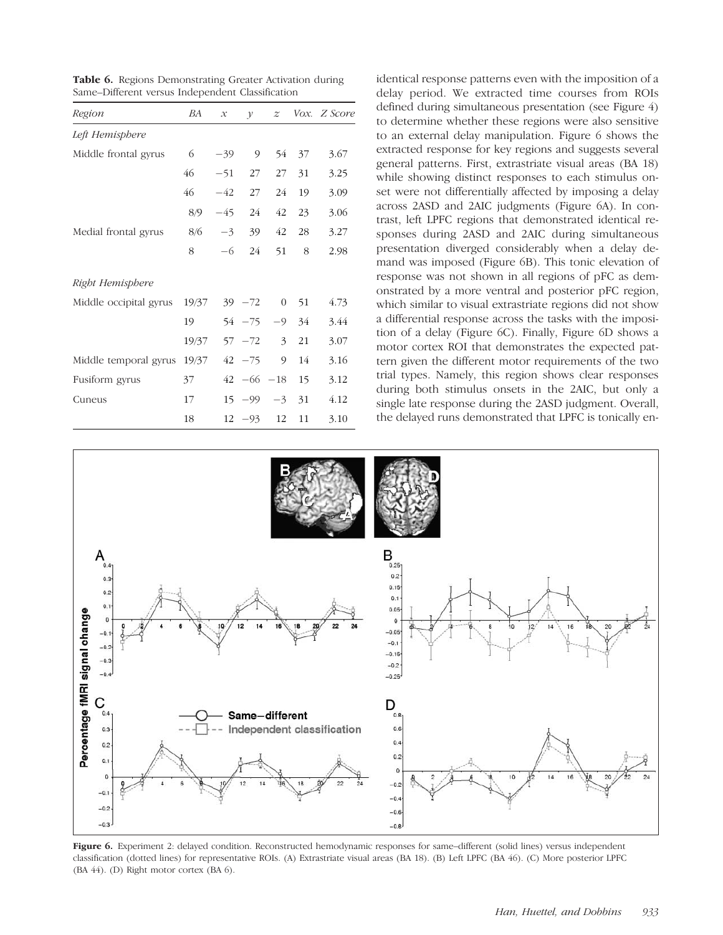|  | Table 6. Regions Demonstrating Greater Activation during |  |  |
|--|----------------------------------------------------------|--|--|
|  | Same–Different versus Independent Classification         |  |  |

| Region                 | BA    | $\mathcal{X}$ | $\mathcal V$ | $\boldsymbol{z}$ |    | Vox. Z Score |
|------------------------|-------|---------------|--------------|------------------|----|--------------|
| Left Hemisphere        |       |               |              |                  |    |              |
| Middle frontal gyrus   | 6     | $-39$         | 9            | 54               | 37 | 3.67         |
|                        | 46    | $-51$         | 27           | 27               | 31 | 3.25         |
|                        | 46    | $-42$         | 27           | 24               | 19 | 3.09         |
|                        | 8/9   | $-45$         | 24           | 42               | 23 | 3.06         |
| Medial frontal gyrus   | 8/6   | $-3$          | 39           | 42               | 28 | 3.27         |
|                        | 8     | -6            | 24           | 51               | 8  | 2.98         |
| Right Hemisphere       |       |               |              |                  |    |              |
| Middle occipital gyrus | 19/37 |               | $39 - 72$    | $\overline{0}$   | 51 | 4.73         |
|                        | 19    |               | $54 - 75$    | $-9$             | 34 | 3.44         |
|                        | 19/37 |               | $57 - 72$    | 3                | 21 | 3.07         |
| Middle temporal gyrus  | 19/37 |               | $42 - 75$    | 9                | 14 | 3.16         |
| Fusiform gyrus         | 37    |               | $42 -66 -18$ |                  | 15 | 3.12         |
| Cuneus                 | 17    |               | $15 - 99$    | $-3$             | 31 | 4.12         |
|                        | 18    |               | $12 -93$     | 12               | 11 | 3.10         |

identical response patterns even with the imposition of a delay period. We extracted time courses from ROIs defined during simultaneous presentation (see Figure 4) to determine whether these regions were also sensitive to an external delay manipulation. Figure 6 shows the extracted response for key regions and suggests several general patterns. First, extrastriate visual areas (BA 18) while showing distinct responses to each stimulus onset were not differentially affected by imposing a delay across 2ASD and 2AIC judgments (Figure 6A). In contrast, left LPFC regions that demonstrated identical responses during 2ASD and 2AIC during simultaneous presentation diverged considerably when a delay demand was imposed (Figure 6B). This tonic elevation of response was not shown in all regions of pFC as demonstrated by a more ventral and posterior pFC region, which similar to visual extrastriate regions did not show a differential response across the tasks with the imposition of a delay (Figure 6C). Finally, Figure 6D shows a motor cortex ROI that demonstrates the expected pattern given the different motor requirements of the two trial types. Namely, this region shows clear responses during both stimulus onsets in the 2AIC, but only a single late response during the 2ASD judgment. Overall, the delayed runs demonstrated that LPFC is tonically en-



Figure 6. Experiment 2: delayed condition. Reconstructed hemodynamic responses for same-different (solid lines) versus independent classification (dotted lines) for representative ROIs. (A) Extrastriate visual areas (BA 18). (B) Left LPFC (BA 46). (C) More posterior LPFC (BA 44). (D) Right motor cortex (BA 6).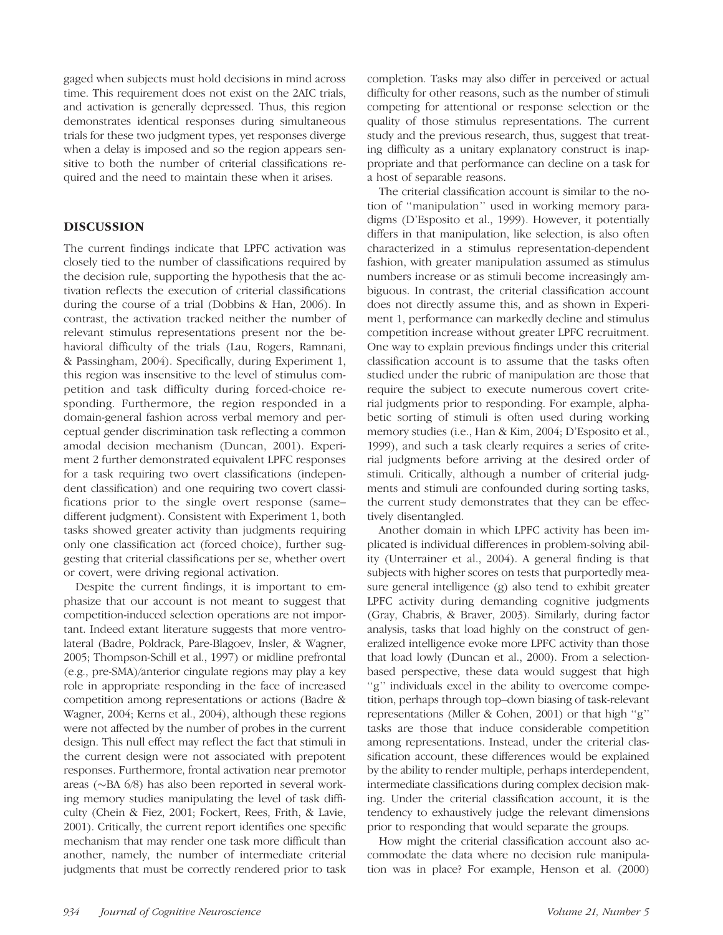gaged when subjects must hold decisions in mind across time. This requirement does not exist on the 2AIC trials, and activation is generally depressed. Thus, this region demonstrates identical responses during simultaneous trials for these two judgment types, yet responses diverge when a delay is imposed and so the region appears sensitive to both the number of criterial classifications required and the need to maintain these when it arises.

# DISCUSSION

The current findings indicate that LPFC activation was closely tied to the number of classifications required by the decision rule, supporting the hypothesis that the activation reflects the execution of criterial classifications during the course of a trial (Dobbins & Han, 2006). In contrast, the activation tracked neither the number of relevant stimulus representations present nor the behavioral difficulty of the trials (Lau, Rogers, Ramnani, & Passingham, 2004). Specifically, during Experiment 1, this region was insensitive to the level of stimulus competition and task difficulty during forced-choice responding. Furthermore, the region responded in a domain-general fashion across verbal memory and perceptual gender discrimination task reflecting a common amodal decision mechanism (Duncan, 2001). Experiment 2 further demonstrated equivalent LPFC responses for a task requiring two overt classifications (independent classification) and one requiring two covert classifications prior to the single overt response (same– different judgment). Consistent with Experiment 1, both tasks showed greater activity than judgments requiring only one classification act (forced choice), further suggesting that criterial classifications per se, whether overt or covert, were driving regional activation.

Despite the current findings, it is important to emphasize that our account is not meant to suggest that competition-induced selection operations are not important. Indeed extant literature suggests that more ventrolateral (Badre, Poldrack, Pare-Blagoev, Insler, & Wagner, 2005; Thompson-Schill et al., 1997) or midline prefrontal (e.g., pre-SMA)/anterior cingulate regions may play a key role in appropriate responding in the face of increased competition among representations or actions (Badre & Wagner, 2004; Kerns et al., 2004), although these regions were not affected by the number of probes in the current design. This null effect may reflect the fact that stimuli in the current design were not associated with prepotent responses. Furthermore, frontal activation near premotor areas  $(\sim$ BA 6/8) has also been reported in several working memory studies manipulating the level of task difficulty (Chein & Fiez, 2001; Fockert, Rees, Frith, & Lavie, 2001). Critically, the current report identifies one specific mechanism that may render one task more difficult than another, namely, the number of intermediate criterial judgments that must be correctly rendered prior to task

completion. Tasks may also differ in perceived or actual difficulty for other reasons, such as the number of stimuli competing for attentional or response selection or the quality of those stimulus representations. The current study and the previous research, thus, suggest that treating difficulty as a unitary explanatory construct is inappropriate and that performance can decline on a task for a host of separable reasons.

The criterial classification account is similar to the notion of ''manipulation'' used in working memory paradigms (D'Esposito et al., 1999). However, it potentially differs in that manipulation, like selection, is also often characterized in a stimulus representation-dependent fashion, with greater manipulation assumed as stimulus numbers increase or as stimuli become increasingly ambiguous. In contrast, the criterial classification account does not directly assume this, and as shown in Experiment 1, performance can markedly decline and stimulus competition increase without greater LPFC recruitment. One way to explain previous findings under this criterial classification account is to assume that the tasks often studied under the rubric of manipulation are those that require the subject to execute numerous covert criterial judgments prior to responding. For example, alphabetic sorting of stimuli is often used during working memory studies (i.e., Han & Kim, 2004; D'Esposito et al., 1999), and such a task clearly requires a series of criterial judgments before arriving at the desired order of stimuli. Critically, although a number of criterial judgments and stimuli are confounded during sorting tasks, the current study demonstrates that they can be effectively disentangled.

Another domain in which LPFC activity has been implicated is individual differences in problem-solving ability (Unterrainer et al., 2004). A general finding is that subjects with higher scores on tests that purportedly measure general intelligence (g) also tend to exhibit greater LPFC activity during demanding cognitive judgments (Gray, Chabris, & Braver, 2003). Similarly, during factor analysis, tasks that load highly on the construct of generalized intelligence evoke more LPFC activity than those that load lowly (Duncan et al., 2000). From a selectionbased perspective, these data would suggest that high "g" individuals excel in the ability to overcome competition, perhaps through top–down biasing of task-relevant representations (Miller & Cohen, 2001) or that high ''g'' tasks are those that induce considerable competition among representations. Instead, under the criterial classification account, these differences would be explained by the ability to render multiple, perhaps interdependent, intermediate classifications during complex decision making. Under the criterial classification account, it is the tendency to exhaustively judge the relevant dimensions prior to responding that would separate the groups.

How might the criterial classification account also accommodate the data where no decision rule manipulation was in place? For example, Henson et al. (2000)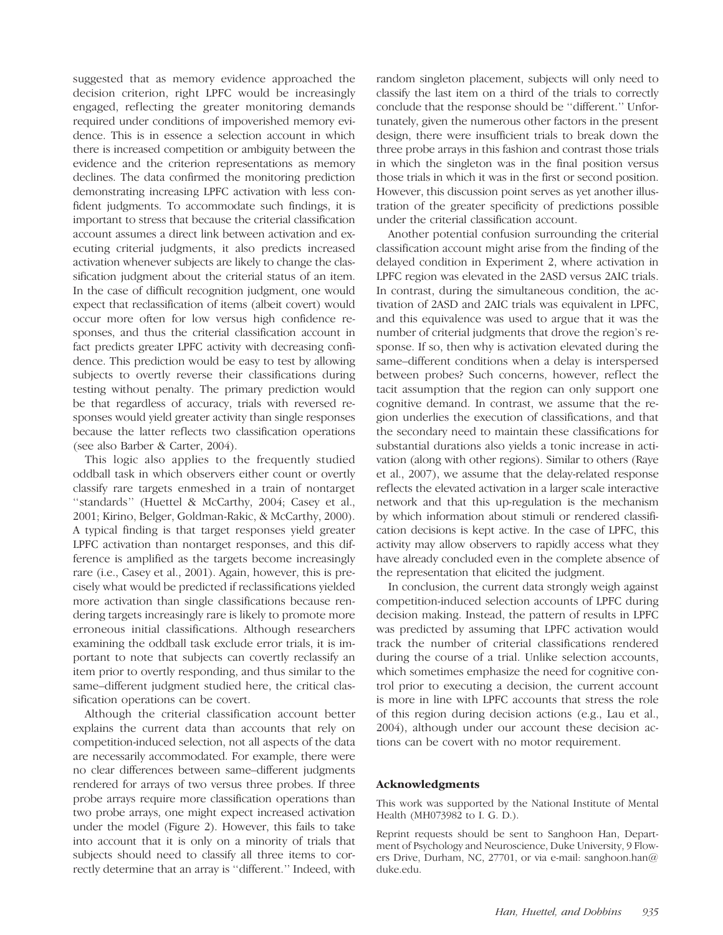suggested that as memory evidence approached the decision criterion, right LPFC would be increasingly engaged, reflecting the greater monitoring demands required under conditions of impoverished memory evidence. This is in essence a selection account in which there is increased competition or ambiguity between the evidence and the criterion representations as memory declines. The data confirmed the monitoring prediction demonstrating increasing LPFC activation with less confident judgments. To accommodate such findings, it is important to stress that because the criterial classification account assumes a direct link between activation and executing criterial judgments, it also predicts increased activation whenever subjects are likely to change the classification judgment about the criterial status of an item. In the case of difficult recognition judgment, one would expect that reclassification of items (albeit covert) would occur more often for low versus high confidence responses, and thus the criterial classification account in fact predicts greater LPFC activity with decreasing confidence. This prediction would be easy to test by allowing subjects to overtly reverse their classifications during testing without penalty. The primary prediction would be that regardless of accuracy, trials with reversed responses would yield greater activity than single responses because the latter reflects two classification operations (see also Barber & Carter, 2004).

This logic also applies to the frequently studied oddball task in which observers either count or overtly classify rare targets enmeshed in a train of nontarget ''standards'' (Huettel & McCarthy, 2004; Casey et al., 2001; Kirino, Belger, Goldman-Rakic, & McCarthy, 2000). A typical finding is that target responses yield greater LPFC activation than nontarget responses, and this difference is amplified as the targets become increasingly rare (i.e., Casey et al., 2001). Again, however, this is precisely what would be predicted if reclassifications yielded more activation than single classifications because rendering targets increasingly rare is likely to promote more erroneous initial classifications. Although researchers examining the oddball task exclude error trials, it is important to note that subjects can covertly reclassify an item prior to overtly responding, and thus similar to the same–different judgment studied here, the critical classification operations can be covert.

Although the criterial classification account better explains the current data than accounts that rely on competition-induced selection, not all aspects of the data are necessarily accommodated. For example, there were no clear differences between same–different judgments rendered for arrays of two versus three probes. If three probe arrays require more classification operations than two probe arrays, one might expect increased activation under the model (Figure 2). However, this fails to take into account that it is only on a minority of trials that subjects should need to classify all three items to correctly determine that an array is ''different.'' Indeed, with random singleton placement, subjects will only need to classify the last item on a third of the trials to correctly conclude that the response should be ''different.'' Unfortunately, given the numerous other factors in the present design, there were insufficient trials to break down the three probe arrays in this fashion and contrast those trials in which the singleton was in the final position versus those trials in which it was in the first or second position. However, this discussion point serves as yet another illustration of the greater specificity of predictions possible under the criterial classification account.

Another potential confusion surrounding the criterial classification account might arise from the finding of the delayed condition in Experiment 2, where activation in LPFC region was elevated in the 2ASD versus 2AIC trials. In contrast, during the simultaneous condition, the activation of 2ASD and 2AIC trials was equivalent in LPFC, and this equivalence was used to argue that it was the number of criterial judgments that drove the region's response. If so, then why is activation elevated during the same–different conditions when a delay is interspersed between probes? Such concerns, however, reflect the tacit assumption that the region can only support one cognitive demand. In contrast, we assume that the region underlies the execution of classifications, and that the secondary need to maintain these classifications for substantial durations also yields a tonic increase in activation (along with other regions). Similar to others (Raye et al., 2007), we assume that the delay-related response reflects the elevated activation in a larger scale interactive network and that this up-regulation is the mechanism by which information about stimuli or rendered classification decisions is kept active. In the case of LPFC, this activity may allow observers to rapidly access what they have already concluded even in the complete absence of the representation that elicited the judgment.

In conclusion, the current data strongly weigh against competition-induced selection accounts of LPFC during decision making. Instead, the pattern of results in LPFC was predicted by assuming that LPFC activation would track the number of criterial classifications rendered during the course of a trial. Unlike selection accounts, which sometimes emphasize the need for cognitive control prior to executing a decision, the current account is more in line with LPFC accounts that stress the role of this region during decision actions (e.g., Lau et al., 2004), although under our account these decision actions can be covert with no motor requirement.

#### Acknowledgments

This work was supported by the National Institute of Mental Health (MH073982 to I. G. D.).

Reprint requests should be sent to Sanghoon Han, Department of Psychology and Neuroscience, Duke University, 9 Flowers Drive, Durham, NC, 27701, or via e-mail: sanghoon.han@ duke.edu.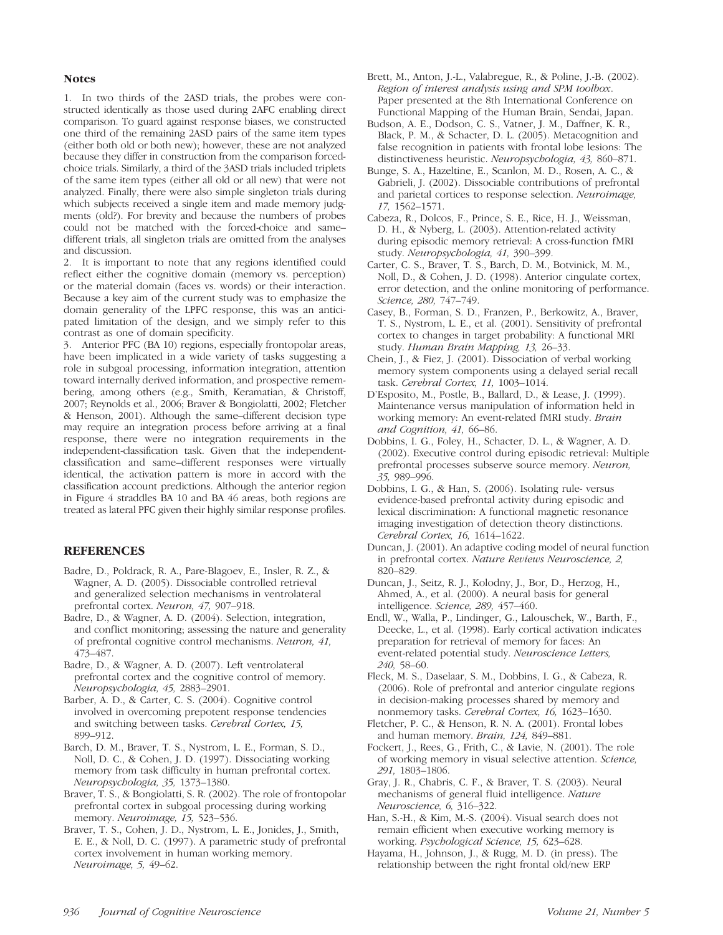#### **Notes**

1. In two thirds of the 2ASD trials, the probes were constructed identically as those used during 2AFC enabling direct comparison. To guard against response biases, we constructed one third of the remaining 2ASD pairs of the same item types (either both old or both new); however, these are not analyzed because they differ in construction from the comparison forcedchoice trials. Similarly, a third of the 3ASD trials included triplets of the same item types (either all old or all new) that were not analyzed. Finally, there were also simple singleton trials during which subjects received a single item and made memory judgments (old?). For brevity and because the numbers of probes could not be matched with the forced-choice and same– different trials, all singleton trials are omitted from the analyses and discussion.

2. It is important to note that any regions identified could reflect either the cognitive domain (memory vs. perception) or the material domain (faces vs. words) or their interaction. Because a key aim of the current study was to emphasize the domain generality of the LPFC response, this was an anticipated limitation of the design, and we simply refer to this contrast as one of domain specificity.

3. Anterior PFC (BA 10) regions, especially frontopolar areas, have been implicated in a wide variety of tasks suggesting a role in subgoal processing, information integration, attention toward internally derived information, and prospective remembering, among others (e.g., Smith, Keramatian, & Christoff, 2007; Reynolds et al., 2006; Braver & Bongiolatti, 2002; Fletcher & Henson, 2001). Although the same–different decision type may require an integration process before arriving at a final response, there were no integration requirements in the independent-classification task. Given that the independentclassification and same–different responses were virtually identical, the activation pattern is more in accord with the classification account predictions. Although the anterior region in Figure 4 straddles BA 10 and BA 46 areas, both regions are treated as lateral PFC given their highly similar response profiles.

# **REFERENCES**

- Badre, D., Poldrack, R. A., Pare-Blagoev, E., Insler, R. Z., & Wagner, A. D. (2005). Dissociable controlled retrieval and generalized selection mechanisms in ventrolateral prefrontal cortex. Neuron, 47, 907–918.
- Badre, D., & Wagner, A. D. (2004). Selection, integration, and conflict monitoring; assessing the nature and generality of prefrontal cognitive control mechanisms. Neuron, 41, 473–487.
- Badre, D., & Wagner, A. D. (2007). Left ventrolateral prefrontal cortex and the cognitive control of memory. Neuropsychologia, 45, 2883–2901.
- Barber, A. D., & Carter, C. S. (2004). Cognitive control involved in overcoming prepotent response tendencies and switching between tasks. Cerebral Cortex, 15, 899–912.
- Barch, D. M., Braver, T. S., Nystrom, L. E., Forman, S. D., Noll, D. C., & Cohen, J. D. (1997). Dissociating working memory from task difficulty in human prefrontal cortex. Neuropsychologia, 35, 1373–1380.
- Braver, T. S., & Bongiolatti, S. R. (2002). The role of frontopolar prefrontal cortex in subgoal processing during working memory. Neuroimage, 15, 523–536.
- Braver, T. S., Cohen, J. D., Nystrom, L. E., Jonides, J., Smith, E. E., & Noll, D. C. (1997). A parametric study of prefrontal cortex involvement in human working memory. Neuroimage, 5, 49–62.
- Brett, M., Anton, J.-L., Valabregue, R., & Poline, J.-B. (2002). Region of interest analysis using and SPM toolbox. Paper presented at the 8th International Conference on Functional Mapping of the Human Brain, Sendai, Japan.
- Budson, A. E., Dodson, C. S., Vatner, J. M., Daffner, K. R., Black, P. M., & Schacter, D. L. (2005). Metacognition and false recognition in patients with frontal lobe lesions: The distinctiveness heuristic. Neuropsychologia, 43, 860–871.
- Bunge, S. A., Hazeltine, E., Scanlon, M. D., Rosen, A. C., & Gabrieli, J. (2002). Dissociable contributions of prefrontal and parietal cortices to response selection. Neuroimage, 17, 1562–1571.
- Cabeza, R., Dolcos, F., Prince, S. E., Rice, H. J., Weissman, D. H., & Nyberg, L. (2003). Attention-related activity during episodic memory retrieval: A cross-function fMRI study. Neuropsychologia, 41, 390–399.
- Carter, C. S., Braver, T. S., Barch, D. M., Botvinick, M. M., Noll, D., & Cohen, J. D. (1998). Anterior cingulate cortex, error detection, and the online monitoring of performance. Science, 280, 747–749.
- Casey, B., Forman, S. D., Franzen, P., Berkowitz, A., Braver, T. S., Nystrom, L. E., et al. (2001). Sensitivity of prefrontal cortex to changes in target probability: A functional MRI study. Human Brain Mapping, 13, 26–33.
- Chein, J., & Fiez, J. (2001). Dissociation of verbal working memory system components using a delayed serial recall task. Cerebral Cortex, 11, 1003–1014.
- D'Esposito, M., Postle, B., Ballard, D., & Lease, J. (1999). Maintenance versus manipulation of information held in working memory: An event-related fMRI study. Brain and Cognition, 41, 66–86.
- Dobbins, I. G., Foley, H., Schacter, D. L., & Wagner, A. D. (2002). Executive control during episodic retrieval: Multiple prefrontal processes subserve source memory. Neuron, 35, 989–996.
- Dobbins, I. G., & Han, S. (2006). Isolating rule- versus evidence-based prefrontal activity during episodic and lexical discrimination: A functional magnetic resonance imaging investigation of detection theory distinctions. Cerebral Cortex, 16, 1614–1622.
- Duncan, J. (2001). An adaptive coding model of neural function in prefrontal cortex. Nature Reviews Neuroscience, 2, 820–829.
- Duncan, J., Seitz, R. J., Kolodny, J., Bor, D., Herzog, H., Ahmed, A., et al. (2000). A neural basis for general intelligence. Science, 289, 457–460.
- Endl, W., Walla, P., Lindinger, G., Lalouschek, W., Barth, F., Deecke, L., et al. (1998). Early cortical activation indicates preparation for retrieval of memory for faces: An event-related potential study. Neuroscience Letters, 240, 58–60.
- Fleck, M. S., Daselaar, S. M., Dobbins, I. G., & Cabeza, R. (2006). Role of prefrontal and anterior cingulate regions in decision-making processes shared by memory and nonmemory tasks. Cerebral Cortex, 16, 1623–1630.
- Fletcher, P. C., & Henson, R. N. A. (2001). Frontal lobes and human memory. Brain, 124, 849–881.
- Fockert, J., Rees, G., Frith, C., & Lavie, N. (2001). The role of working memory in visual selective attention. Science, 291, 1803–1806.
- Gray, J. R., Chabris, C. F., & Braver, T. S. (2003). Neural mechanisms of general fluid intelligence. Nature Neuroscience, 6, 316–322.
- Han, S.-H., & Kim, M.-S. (2004). Visual search does not remain efficient when executive working memory is working. Psychological Science, 15, 623–628.
- Hayama, H., Johnson, J., & Rugg, M. D. (in press). The relationship between the right frontal old/new ERP